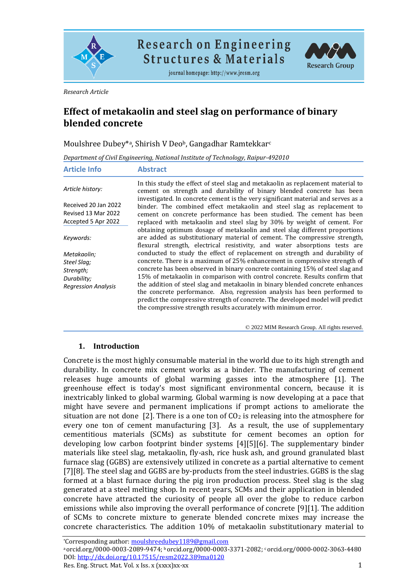

**Research on Engineering Structures & Materials** 

journal homepage: http://www.jresm.org



*Research Article*

# **Effect of metakaolin and steel slag on performance of binary blended concrete**

Moulshree Dubey\*<sup>a</sup> , Shirish V Deob, Gangadhar Ramtekkar<sup>c</sup>

*Department of Civil Engineering, National Institute of Technology, Raipur-492010*

| <b>Article Info</b>        | <b>Abstract</b>                                                                                                                                                                                                                                |
|----------------------------|------------------------------------------------------------------------------------------------------------------------------------------------------------------------------------------------------------------------------------------------|
| Article history:           | In this study the effect of steel slag and metakaolin as replacement material to<br>cement on strength and durability of binary blended concrete has been<br>investigated. In concrete cement is the very significant material and serves as a |
| Received 20 Jan 2022       | binder. The combined effect metakaolin and steel slag as replacement to                                                                                                                                                                        |
| Revised 13 Mar 2022        | cement on concrete performance has been studied. The cement has been                                                                                                                                                                           |
| Accepted 5 Apr 2022        | replaced with metakaolin and steel slag by 30% by weight of cement. For                                                                                                                                                                        |
| Keywords:                  | obtaining optimum dosage of metakaolin and steel slag different proportions<br>are added as substitutionary material of cement. The compressive strength,<br>flexural strength, electrical resistivity, and water absorptions tests are        |
| Metakaolin:                | conducted to study the effect of replacement on strength and durability of                                                                                                                                                                     |
| Steel Slag;                | concrete. There is a maximum of 25% enhancement in compressive strength of                                                                                                                                                                     |
| Strength;                  | concrete has been observed in binary concrete containing 15% of steel slag and                                                                                                                                                                 |
| Durability;                | 15% of metakaolin in comparison with control concrete. Results confirm that                                                                                                                                                                    |
| <b>Regression Analysis</b> | the addition of steel slag and metakaolin in binary blended concrete enhances                                                                                                                                                                  |
|                            | the concrete performance. Also, regression analysis has been performed to                                                                                                                                                                      |
|                            | predict the compressive strength of concrete. The developed model will predict                                                                                                                                                                 |
|                            | the compressive strength results accurately with minimum error.                                                                                                                                                                                |

© 2022 MIM Research Group. All rights reserved.

#### **1. Introduction**

Concrete is the most highly consumable material in the world due to its high strength and durability. In concrete mix cement works as a binder. The manufacturing of cement releases huge amounts of global warming gasses into the atmosphere [1]. The greenhouse effect is today's most significant environmental concern, because it is inextricably linked to global warming. Global warming is now developing at a pace that might have severe and permanent implications if prompt actions to ameliorate the situation are not done [2]. There is a one ton of  $CO<sub>2</sub>$  is releasing into the atmosphere for every one ton of cement manufacturing [3]. As a result, the use of supplementary cementitious materials (SCMs) as substitute for cement becomes an option for developing low carbon footprint binder systems [4][5][6]. The supplementary binder materials like steel slag, metakaolin, fly-ash, rice husk ash, and ground granulated blast furnace slag (GGBS) are extensively utilized in concrete as a partial alternative to cement [7][8]. The steel slag and GGBS are by-products from the steel industries. GGBS is the slag formed at a blast furnace during the pig iron production process. Steel slag is the slag generated at a steel melting shop. In recent years, SCMs and their application in blended concrete have attracted the curiosity of people all over the globe to reduce carbon emissions while also improving the overall performance of concrete [9][1]. The addition of SCMs to concrete mixture to generate blended concrete mixes may increase the concrete characteristics. The addition 10% of metakaolin substitutionary material to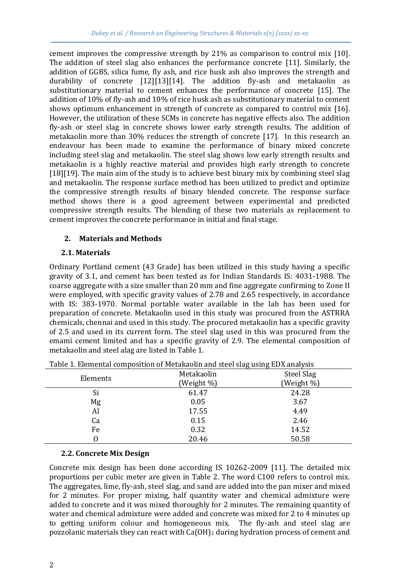cement improves the compressive strength by 21% as comparison to control mix [10]. The addition of steel slag also enhances the performance concrete [11]. Similarly, the addition of GGBS, silica fume, fly ash, and rice husk ash also improves the strength and durability of concrete [12][13][14]. The addition fly-ash and metakaolin as substitutionary material to cement enhances the performance of concrete [15]. The addition of 10% of fly-ash and 10% of rice husk ash as substitutionary material to cement shows optimum enhancement in strength of concrete as compared to control mix [16]. However, the utilization of these SCMs in concrete has negative effects also. The addition fly-ash or steel slag in concrete shows lower early strength results. The addition of metakaolin more than 30% reduces the strength of concrete [17]. In this research an endeavour has been made to examine the performance of binary mixed concrete including steel slag and metakaolin. The steel slag shows low early strength results and metakaolin is a highly reactive material and provides high early strength to concrete [18][19]. The main aim of the study is to achieve best binary mix by combining steel slag and metakaolin. The response surface method has been utilized to predict and optimize the compressive strength results of binary blended concrete. The response surface method shows there is a good agreement between experimental and predicted compressive strength results. The blending of these two materials as replacement to cement improves the concrete performance in initial and final stage.

### **2. Materials and Methods**

### **2.1. Materials**

Ordinary Portland cement (43 Grade) has been utilized in this study having a specific gravity of 3.1, and cement has been tested as for Indian Standards IS: 4031-1988. The coarse aggregate with a size smaller than 20 mm and fine aggregate confirming to Zone II were employed, with specific gravity values of 2.78 and 2.65 respectively, in accordance with IS: 383-1970. Normal portable water available in the lab has been used for preparation of concrete. Metakaolin used in this study was procured from the ASTRRA chemicals, chennai and used in this study. The procured metakaolin has a specific gravity of 2.5 and used in its current form. The steel slag used in this was procured from the emami cement limited and has a specific gravity of 2.9. The elemental composition of metakaolin and steel alag are listed in Table 1.

|          |            | $\cdots$<br>ັ<br>$\overline{1}$ $\overline{1}$ $\overline{1}$ $\overline{1}$ $\overline{1}$ |
|----------|------------|---------------------------------------------------------------------------------------------|
|          | Metakaolin | Steel Slag                                                                                  |
| Elements | (Weight %) | (Weight %)                                                                                  |
| Si       | 61.47      | 24.28                                                                                       |
| Mg       | 0.05       | 3.67                                                                                        |
| Al       | 17.55      | 4.49                                                                                        |
| Ca       | 0.15       | 2.46                                                                                        |
| Fe       | 0.32       | 14.52                                                                                       |
|          | 20.46      | 50.58                                                                                       |
|          |            |                                                                                             |

Table 1. Elemental composition of Metakaolin and steel slag using EDX analysis

# **2.2. Concrete Mix Design**

Concrete mix design has been done according IS 10262-2009 [11]. The detailed mix proportions per cubic meter are given in Table 2. The word C100 refers to control mix. The aggregates, lime, fly-ash, steel slag, and sand are added into the pan mixer and mixed for 2 minutes. For proper mixing, half quantity water and chemical admixture were added to concrete and it was mixed thoroughly for 2 minutes. The remaining quantity of water and chemical admixture were added and concrete was mixed for 2 to 4 minutes up to getting uniform colour and homogeneous mix. The fly-ash and steel slag are pozzolanic materials they can react with  $Ca(OH)_2$  during hydration process of cement and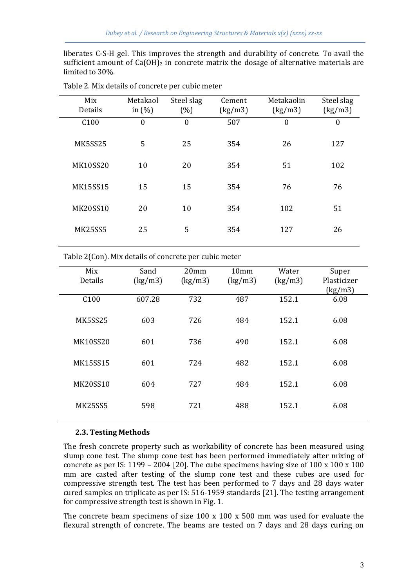liberates C-S-H gel. This improves the strength and durability of concrete. To avail the sufficient amount of  $Ca(OH)_2$  in concrete matrix the dosage of alternative materials are limited to 30%.

| Mix<br>Details   | Metakaol<br>in $(\% )$ | Steel slag<br>(%) | Cement<br>(kg/m3) | Metakaolin<br>(kg/m3) | Steel slag<br>(kg/m3) |
|------------------|------------------------|-------------------|-------------------|-----------------------|-----------------------|
| C <sub>100</sub> | $\mathbf{0}$           | $\theta$          | 507               | $\boldsymbol{0}$      | $\mathbf{0}$          |
| MK5SS25          | 5                      | 25                | 354               | 26                    | 127                   |
| <b>MK10SS20</b>  | 10                     | 20                | 354               | 51                    | 102                   |
| <b>MK15SS15</b>  | 15                     | 15                | 354               | 76                    | 76                    |
| <b>MK20SS10</b>  | 20                     | 10                | 354               | 102                   | 51                    |
| <b>MK25SS5</b>   | 25                     | 5                 | 354               | 127                   | 26                    |

Table 2. Mix details of concrete per cubic meter

Table 2(Con). Mix details of concrete per cubic meter

| Mix             | Sand    | 20 <sub>mm</sub> | 10mm    | Water   | Super       |
|-----------------|---------|------------------|---------|---------|-------------|
| Details         | (kg/m3) | (kg/m3)          | (kg/m3) | (kg/m3) | Plasticizer |
|                 |         |                  |         |         | (kg/m3)     |
| C100            | 607.28  | 732              | 487     | 152.1   | 6.08        |
| <b>MK5SS25</b>  | 603     | 726              | 484     | 152.1   | 6.08        |
| <b>MK10SS20</b> | 601     | 736              | 490     | 152.1   | 6.08        |
| <b>MK15SS15</b> | 601     | 724              | 482     | 152.1   | 6.08        |
| <b>MK20SS10</b> | 604     | 727              | 484     | 152.1   | 6.08        |
| <b>MK25SS5</b>  | 598     | 721              | 488     | 152.1   | 6.08        |

#### **2.3. Testing Methods**

The fresh concrete property such as workability of concrete has been measured using slump cone test. The slump cone test has been performed immediately after mixing of concrete as per IS: 1199 – 2004 [20]. The cube specimens having size of  $100 \times 100 \times 100$ mm are casted after testing of the slump cone test and these cubes are used for compressive strength test. The test has been performed to 7 days and 28 days water cured samples on triplicate as per IS: 516-1959 standards [21]. The testing arrangement for compressive strength test is shown in Fig. 1.

The concrete beam specimens of size  $100 \times 100 \times 500$  mm was used for evaluate the flexural strength of concrete. The beams are tested on 7 days and 28 days curing on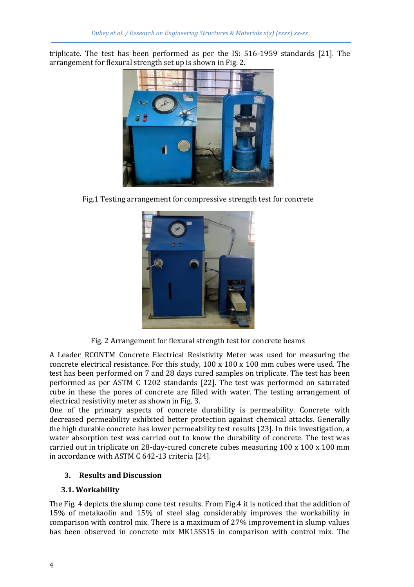triplicate. The test has been performed as per the IS: 516-1959 standards [21]. The arrangement for flexural strength set up is shown in Fig. 2.



Fig.1 Testing arrangement for compressive strength test for concrete



Fig. 2 Arrangement for flexural strength test for concrete beams

A Leader RCONTM Concrete Electrical Resistivity Meter was used for measuring the concrete electrical resistance. For this study,  $100 \times 100 \times 100$  mm cubes were used. The test has been performed on 7 and 28 days cured samples on triplicate. The test has been performed as per ASTM C 1202 standards [22]. The test was performed on saturated cube in these the pores of concrete are filled with water. The testing arrangement of electrical resistivity meter as shown in Fig. 3.

One of the primary aspects of concrete durability is permeability. Concrete with decreased permeability exhibited better protection against chemical attacks. Generally the high durable concrete has lower permeability test results [23]. In this investigation, a water absorption test was carried out to know the durability of concrete. The test was carried out in triplicate on 28-day-cured concrete cubes measuring 100 x 100 x 100 mm in accordance with ASTM C 642-13 criteria [24].

# **3. Results and Discussion**

# **3.1. Workability**

The Fig. 4 depicts the slump cone test results. From Fig.4 it is noticed that the addition of 15% of metakaolin and 15% of steel slag considerably improves the workability in comparison with control mix. There is a maximum of 27% improvement in slump values has been observed in concrete mix MK15SS15 in comparison with control mix. The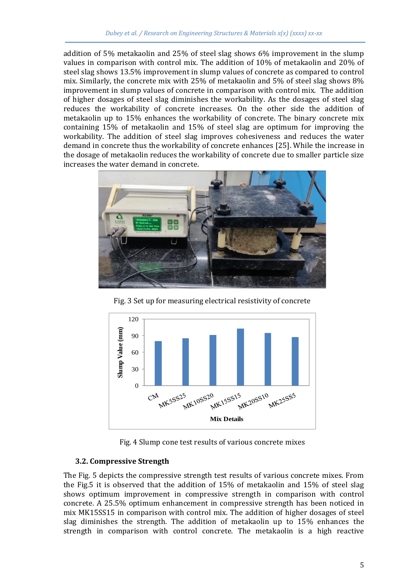addition of 5% metakaolin and 25% of steel slag shows 6% improvement in the slump values in comparison with control mix. The addition of 10% of metakaolin and 20% of steel slag shows 13.5% improvement in slump values of concrete as compared to control mix. Similarly, the concrete mix with 25% of metakaolin and 5% of steel slag shows 8% improvement in slump values of concrete in comparison with control mix. The addition of higher dosages of steel slag diminishes the workability. As the dosages of steel slag reduces the workability of concrete increases. On the other side the addition of metakaolin up to 15% enhances the workability of concrete. The binary concrete mix containing 15% of metakaolin and 15% of steel slag are optimum for improving the workability. The addition of steel slag improves cohesiveness and reduces the water demand in concrete thus the workability of concrete enhances [25]. While the increase in the dosage of metakaolin reduces the workability of concrete due to smaller particle size increases the water demand in concrete.



Fig. 3 Set up for measuring electrical resistivity of concrete



Fig. 4 Slump cone test results of various concrete mixes

# **3.2. Compressive Strength**

The Fig. 5 depicts the compressive strength test results of various concrete mixes. From the Fig.5 it is observed that the addition of 15% of metakaolin and 15% of steel slag shows optimum improvement in compressive strength in comparison with control concrete. A 25.5% optimum enhancement in compressive strength has been noticed in mix MK15SS15 in comparison with control mix. The addition of higher dosages of steel slag diminishes the strength. The addition of metakaolin up to 15% enhances the strength in comparison with control concrete. The metakaolin is a high reactive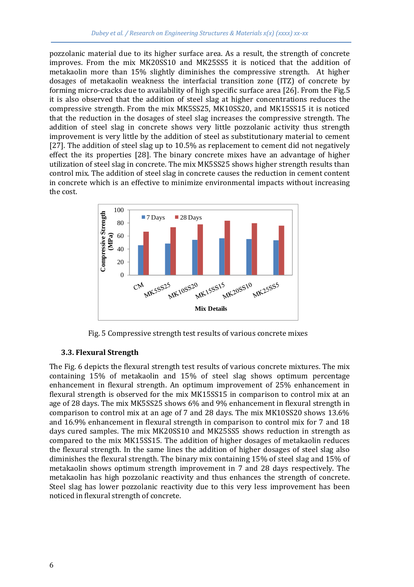pozzolanic material due to its higher surface area. As a result, the strength of concrete improves. From the mix MK20SS10 and MK25SS5 it is noticed that the addition of metakaolin more than 15% slightly diminishes the compressive strength. At higher dosages of metakaolin weakness the interfacial transition zone (ITZ) of concrete by forming micro-cracks due to availability of high specific surface area [26]. From the Fig.5 it is also observed that the addition of steel slag at higher concentrations reduces the compressive strength. From the mix MK5SS25, MK10SS20, and MK15SS15 it is noticed that the reduction in the dosages of steel slag increases the compressive strength. The addition of steel slag in concrete shows very little pozzolanic activity thus strength improvement is very little by the addition of steel as substitutionary material to cement [27]. The addition of steel slag up to 10.5% as replacement to cement did not negatively effect the its properties [28]. The binary concrete mixes have an advantage of higher utilization of steel slag in concrete. The mix MK5SS25 shows higher strength results than control mix. The addition of steel slag in concrete causes the reduction in cement content in concrete which is an effective to minimize environmental impacts without increasing the cost.



Fig. 5 Compressive strength test results of various concrete mixes

#### **3.3. Flexural Strength**

The Fig. 6 depicts the flexural strength test results of various concrete mixtures. The mix containing 15% of metakaolin and 15% of steel slag shows optimum percentage enhancement in flexural strength. An optimum improvement of 25% enhancement in flexural strength is observed for the mix MK15SS15 in comparison to control mix at an age of 28 days. The mix MK5SS25 shows 6% and 9% enhancement in flexural strength in comparison to control mix at an age of 7 and 28 days. The mix MK10SS20 shows 13.6% and 16.9% enhancement in flexural strength in comparison to control mix for 7 and 18 days cured samples. The mix MK20SS10 and MK25SS5 shows reduction in strength as compared to the mix MK15SS15. The addition of higher dosages of metakaolin reduces the flexural strength. In the same lines the addition of higher dosages of steel slag also diminishes the flexural strength. The binary mix containing 15% of steel slag and 15% of metakaolin shows optimum strength improvement in 7 and 28 days respectively. The metakaolin has high pozzolanic reactivity and thus enhances the strength of concrete. Steel slag has lower pozzolanic reactivity due to this very less improvement has been noticed in flexural strength of concrete.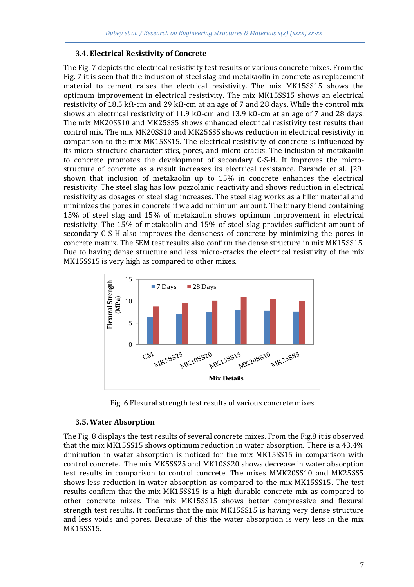#### **3.4. Electrical Resistivity of Concrete**

The Fig. 7 depicts the electrical resistivity test results of various concrete mixes. From the Fig. 7 it is seen that the inclusion of steel slag and metakaolin in concrete as replacement material to cement raises the electrical resistivity. The mix MK15SS15 shows the optimum improvement in electrical resistivity. The mix MK15SS15 shows an electrical resistivity of 18.5 kΩ-cm and 29 kΩ-cm at an age of 7 and 28 days. While the control mix shows an electrical resistivity of 11.9 kΩ-cm and 13.9 kΩ-cm at an age of 7 and 28 days. The mix MK20SS10 and MK25SS5 shows enhanced electrical resistivity test results than control mix. The mix MK20SS10 and MK25SS5 shows reduction in electrical resistivity in comparison to the mix MK15SS15. The electrical resistivity of concrete is influenced by its micro-structure characteristics, pores, and micro-cracks. The inclusion of metakaolin to concrete promotes the development of secondary C-S-H. It improves the microstructure of concrete as a result increases its electrical resistance. Parande et al. [29] shown that inclusion of metakaolin up to 15% in concrete enhances the electrical resistivity. The steel slag has low pozzolanic reactivity and shows reduction in electrical resistivity as dosages of steel slag increases. The steel slag works as a filler material and minimizes the pores in concrete if we add minimum amount. The binary blend containing 15% of steel slag and 15% of metakaolin shows optimum improvement in electrical resistivity. The 15% of metakaolin and 15% of steel slag provides sufficient amount of secondary C-S-H also improves the denseness of concrete by minimizing the pores in concrete matrix. The SEM test results also confirm the dense structure in mix MK15SS15. Due to having dense structure and less micro-cracks the electrical resistivity of the mix MK15SS15 is very high as compared to other mixes.



Fig. 6 Flexural strength test results of various concrete mixes

#### **3.5. Water Absorption**

The Fig. 8 displays the test results of several concrete mixes. From the Fig.8 it is observed that the mix MK15SS15 shows optimum reduction in water absorption. There is a 43.4% diminution in water absorption is noticed for the mix MK15SS15 in comparison with control concrete. The mix MK5SS25 and MK10SS20 shows decrease in water absorption test results in comparison to control concrete. The mixes MMK20SS10 and MK25SS5 shows less reduction in water absorption as compared to the mix MK15SS15. The test results confirm that the mix MK15SS15 is a high durable concrete mix as compared to other concrete mixes. The mix MK15SS15 shows better compressive and flexural strength test results. It confirms that the mix MK15SS15 is having very dense structure and less voids and pores. Because of this the water absorption is very less in the mix MK15SS15.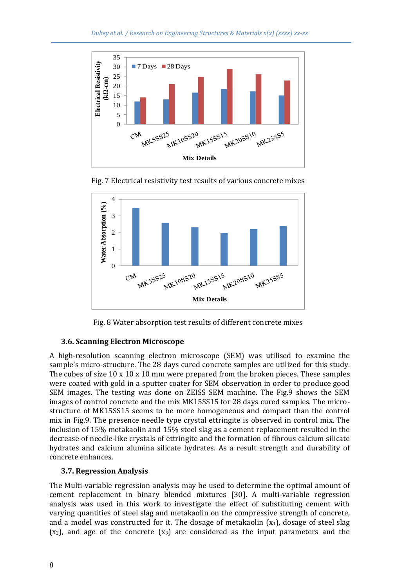

Fig. 7 Electrical resistivity test results of various concrete mixes



Fig. 8 Water absorption test results of different concrete mixes

# **3.6. Scanning Electron Microscope**

A high-resolution scanning electron microscope (SEM) was utilised to examine the sample's micro-structure. The 28 days cured concrete samples are utilized for this study. The cubes of size  $10 \times 10 \times 10$  mm were prepared from the broken pieces. These samples were coated with gold in a sputter coater for SEM observation in order to produce good SEM images. The testing was done on ZEISS SEM machine. The Fig.9 shows the SEM images of control concrete and the mix MK15SS15 for 28 days cured samples. The microstructure of MK15SS15 seems to be more homogeneous and compact than the control mix in Fig.9. The presence needle type crystal ettringite is observed in control mix. The inclusion of 15% metakaolin and 15% steel slag as a cement replacement resulted in the decrease of needle-like crystals of ettringite and the formation of fibrous calcium silicate hydrates and calcium alumina silicate hydrates. As a result strength and durability of concrete enhances.

# **3.7. Regression Analysis**

The Multi-variable regression analysis may be used to determine the optimal amount of cement replacement in binary blended mixtures [30]. A multi-variable regression analysis was used in this work to investigate the effect of substituting cement with varying quantities of steel slag and metakaolin on the compressive strength of concrete, and a model was constructed for it. The dosage of metakaolin  $(x_1)$ , dosage of steel slag  $(x_2)$ , and age of the concrete  $(x_3)$  are considered as the input parameters and the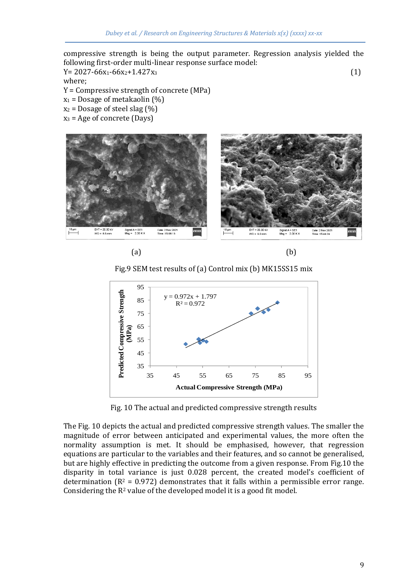compressive strength is being the output parameter. Regression analysis yielded the following first-order multi-linear response surface model:

 $Y= 2027-66x_1-66x_2+1.427x_3$  (1)

where;

- Y = Compressive strength of concrete (MPa)
- $x_1$  = Dosage of metakaolin (%)
- $x_2$  = Dosage of steel slag (%)
- $x_3$  = Age of concrete (Days)





Fig.9 SEM test results of (a) Control mix (b) MK15SS15 mix



Fig. 10 The actual and predicted compressive strength results

The Fig. 10 depicts the actual and predicted compressive strength values. The smaller the magnitude of error between anticipated and experimental values, the more often the normality assumption is met. It should be emphasised, however, that regression equations are particular to the variables and their features, and so cannot be generalised, but are highly effective in predicting the outcome from a given response. From Fig.10 the disparity in total variance is just 0.028 percent, the created model's coefficient of determination  $(R^2 = 0.972)$  demonstrates that it falls within a permissible error range. Considering the  $R^2$  value of the developed model it is a good fit model.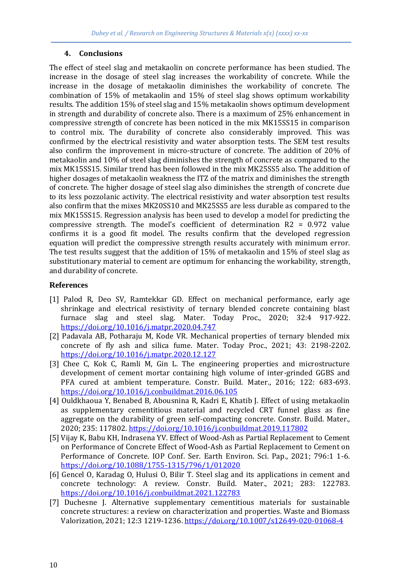#### **4. Conclusions**

The effect of steel slag and metakaolin on concrete performance has been studied. The increase in the dosage of steel slag increases the workability of concrete. While the increase in the dosage of metakaolin diminishes the workability of concrete. The combination of 15% of metakaolin and 15% of steel slag shows optimum workability results. The addition 15% of steel slag and 15% metakaolin shows optimum development in strength and durability of concrete also. There is a maximum of 25% enhancement in compressive strength of concrete has been noticed in the mix MK15SS15 in comparison to control mix. The durability of concrete also considerably improved. This was confirmed by the electrical resistivity and water absorption tests. The SEM test results also confirm the improvement in micro-structure of concrete. The addition of 20% of metakaolin and 10% of steel slag diminishes the strength of concrete as compared to the mix MK15SS15. Similar trend has been followed in the mix MK25SS5 also. The addition of higher dosages of metakaolin weakness the ITZ of the matrix and diminishes the strength of concrete. The higher dosage of steel slag also diminishes the strength of concrete due to its less pozzolanic activity. The electrical resistivity and water absorption test results also confirm that the mixes MK20SS10 and MK25SS5 are less durable as compared to the mix MK15SS15. Regression analysis has been used to develop a model for predicting the compressive strength. The model's coefficient of determination R2 = 0.972 value confirms it is a good fit model. The results confirm that the developed regression equation will predict the compressive strength results accurately with minimum error. The test results suggest that the addition of 15% of metakaolin and 15% of steel slag as substitutionary material to cement are optimum for enhancing the workability, strength, and durability of concrete.

#### **References**

- [1] Palod R, Deo SV, Ramtekkar GD. Effect on mechanical performance, early age shrinkage and electrical resistivity of ternary blended concrete containing blast furnace slag and steel slag. Mater. Today Proc., 2020; 32:4 917-922. <https://doi.org/10.1016/j.matpr.2020.04.747>
- [2] Padavala AB, Potharaju M, Kode VR. Mechanical properties of ternary blended mix concrete of fly ash and silica fume. Mater. Today Proc., 2021; 43: 2198-2202. <https://doi.org/10.1016/j.matpr.2020.12.127>
- [3] Chee C, Kok C, Ramli M, Gin L. The engineering properties and microstructure development of cement mortar containing high volume of inter-grinded GGBS and PFA cured at ambient temperature. Constr. Build. Mater., 2016; 122: 683-693. <https://doi.org/10.1016/j.conbuildmat.2016.06.105>
- [4] Ouldkhaoua Y, Benabed B, Abousnina R, Kadri E, Khatib J. Effect of using metakaolin as supplementary cementitious material and recycled CRT funnel glass as fine aggregate on the durability of green self-compacting concrete. Constr. Build. Mater., 2020; 235: 117802[. https://doi.org/10.1016/j.conbuildmat.2019.117802](https://doi.org/10.1016/j.conbuildmat.2019.117802)
- [5] Vijay K, Babu KH, Indrasena YV. Effect of Wood-Ash as Partial Replacement to Cement on Performance of Concrete Effect of Wood-Ash as Partial Replacement to Cement on Performance of Concrete. IOP Conf. Ser. Earth Environ. Sci. Pap., 2021; 796:1 1-6. <https://doi.org/10.1088/1755-1315/796/1/012020>
- [6] Gencel O, Karadag O, Hulusi O, Bilir T. Steel slag and its applications in cement and concrete technology: A review. Constr. Build. Mater., 2021; 283: 122783. <https://doi.org/10.1016/j.conbuildmat.2021.122783>
- [7] Duchesne J. Alternative supplementary cementitious materials for sustainable concrete structures: a review on characterization and properties. Waste and Biomass Valorization, 2021; 12:3 1219-1236.<https://doi.org/10.1007/s12649-020-01068-4>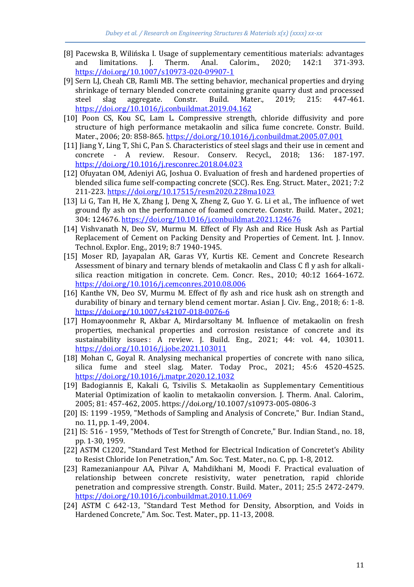- [8] Pacewska B, Wilińska I. Usage of supplementary cementitious materials: advantages and limitations. J. Therm. Anal. Calorim., 2020; 142:1 371-393. <https://doi.org/10.1007/s10973-020-09907-1>
- [9] Sern LJ, Cheah CB, Ramli MB. The setting behavior, mechanical properties and drying shrinkage of ternary blended concrete containing granite quarry dust and processed steel slag aggregate. Constr. Build. Mater., 2019; 215: 447-461. <https://doi.org/10.1016/j.conbuildmat.2019.04.162>
- [10] Poon CS, Kou SC, Lam L. Compressive strength, chloride diffusivity and pore structure of high performance metakaolin and silica fume concrete. Constr. Build. Mater., 2006; 20: 858-865[. https://doi.org/10.1016/j.conbuildmat.2005.07.001](https://doi.org/10.1016/j.conbuildmat.2005.07.001)
- [11] Jiang Y, Ling T, Shi C, Pan S. Characteristics of steel slags and their use in cement and concrete - A review. Resour. Conserv. Recycl., 2018; 136: 187-197. <https://doi.org/10.1016/j.resconrec.2018.04.023>
- [12] Ofuyatan OM, Adeniyi AG, Joshua O. Evaluation of fresh and hardened properties of blended silica fume self-compacting concrete (SCC). Res. Eng. Struct. Mater., 2021; 7:2 211-223[. https://doi.org/10.17515/resm2020.228ma1023](https://doi.org/10.17515/resm2020.228ma1023)
- [13] Li G, Tan H, He X, Zhang J, Deng X, Zheng Z, Guo Y. G. Li et al., The influence of wet ground fly ash on the performance of foamed concrete. Constr. Build. Mater., 2021; 304: 124676[. https://doi.org/10.1016/j.conbuildmat.2021.124676](https://doi.org/10.1016/j.conbuildmat.2021.124676)
- [14] Vishvanath N, Deo SV, Murmu M. Effect of Fly Ash and Rice Husk Ash as Partial Replacement of Cement on Packing Density and Properties of Cement. Int. J. Innov. Technol. Explor. Eng., 2019; 8:7 1940-1945.
- [15] Moser RD, Jayapalan AR, Garas VY, Kurtis KE. Cement and Concrete Research Assessment of binary and ternary blends of metakaolin and Class C fl y ash for alkalisilica reaction mitigation in concrete. Cem. Concr. Res., 2010; 40:12 1664-1672. <https://doi.org/10.1016/j.cemconres.2010.08.006>
- [16] Kanthe VN, Deo SV, Murmu M. Effect of fly ash and rice husk ash on strength and durability of binary and ternary blend cement mortar. Asian J. Civ. Eng., 2018; 6: 1-8. <https://doi.org/10.1007/s42107-018-0076-6>
- [17] Homayoonmehr R, Akbar A, Mirdarsoltany M. Influence of metakaolin on fresh properties, mechanical properties and corrosion resistance of concrete and its sustainability issues : A review. J. Build. Eng., 2021; 44: vol. 44, 103011. <https://doi.org/10.1016/j.jobe.2021.103011>
- [18] Mohan C, Goyal R. Analysing mechanical properties of concrete with nano silica, silica fume and steel slag. Mater. Today Proc., 2021; 45:6 4520-4525. <https://doi.org/10.1016/j.matpr.2020.12.1032>
- [19] Badogiannis E, Kakali G, Tsivilis S. Metakaolin as Supplementary Cementitious Material Optimization of kaolin to metakaolin conversion. J. Therm. Anal. Calorim., 2005; 81: 457-462, 2005. https://doi.org/10.1007/s10973-005-0806-3
- [20] IS: 1199 -1959, "Methods of Sampling and Analysis of Concrete," Bur. Indian Stand., no. 11, pp. 1-49, 2004.
- [21] IS: 516 1959, "Methods of Test for Strength of Concrete," Bur. Indian Stand., no. 18, pp. 1-30, 1959.
- [22] ASTM C1202, "Standard Test Method for Electrical Indication of Concretet's Ability to Resist Chloride Ion Penetration," Am. Soc. Test. Mater., no. C, pp. 1-8, 2012.
- [23] Ramezanianpour AA, Pilvar A, Mahdikhani M, Moodi F. Practical evaluation of relationship between concrete resistivity, water penetration, rapid chloride penetration and compressive strength. Constr. Build. Mater., 2011; 25:5 2472-2479. <https://doi.org/10.1016/j.conbuildmat.2010.11.069>
- [24] ASTM C 642-13, "Standard Test Method for Density, Absorption, and Voids in Hardened Concrete," Am. Soc. Test. Mater., pp. 11-13, 2008.